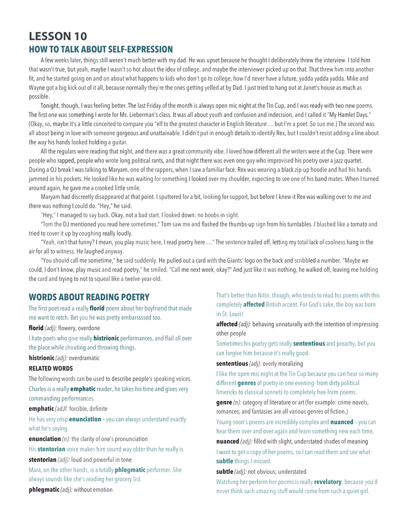# **LESSON 10 HOW TO TALK ABOUT SELF-EXPRESSION**

A few weeks later, things still weren't much better with my dad. He was upset because he thought I deliberately threw the interview. I told him that wasn't true, but yeah, maybe I wasn't so hot about the idea of college, and maybe the interviewer picked up on that. That threw him into another fit, and he started going on and on about what happens to kids who don't go to college, how I'd never have a future, yadda yadda yadda. Mike and Wayne got a big kick out of it all, because normally they're the ones getting yelled at by Dad. I just tried to hang out at Janet's house as much as possible.

Tonight, though, I was feeling better. The last Friday of the month is always open mic night at the TIn Cup, and I was ready with two new poems. The first one was something I wrote for Ms. Lieberman's class. It was all about youth and confusion and indecision, and I called it "My Hamlet Days." (Okay, so, maybe it's a little conceited to compare you "elf to the greatest character in English literature . .. but I'm a poet. So sue me.) The second was all about being in love with someone gorgeous and unattainable. I didn't put in enough details to identify Rex, but I couldn't resist adding a line about the *way* his hands looked holding a guitar.

All the regulars were reading that night, and there was a great community vibe. I loved how different all the writers were at the Cup. There were people who rapped, people who wrote long political rants, and that night there was even one guy who improvised his poetry over a jazz quartet. During a OJ break I was talking to Maryam, one of the rappers, when I saw a familiar face. Rex was wearing a black zip-up hoodie and had his hands jammed in his pockets. He looked like he was waiting for something I looked over my shoulder, expecting to see one of his band mates. When I turned around again, he gave me a crooked little smile.

Maryam had discreetly disappeared at that point. I sputtered for a bit, looking for support, but before I knew it Rex was walking over to me and there was nothing I could do. "Hey," he said.

"Hey," I managed to say back. Okay, not a bad start. I looked down: no boobs in sight.

"Tom the DJ mentioned you read here sometimes." Tom saw me and flashed the thumbs-up sign from his turntables. I blushed like a tomato and tried to cover it up by coughing really loudly.

"Yeah, isn't that funny? I mean, you play music here, I read poetry here…." The sentence trailed off, letting my total lack of coolness hang in the air for all to witness. He laughed anyway.

"You should call me sometime," he said suddenly. He pulled out a card with the Giants' logo on the back and scribbled a number. "Maybe we could, I don't know, play music and read poetry," he smiled. "Call me next week, okay?" And just like it was nothing, he walked off, leaving me holding the card and trying to not to squeal like a twelve-year-old.

### **WORDS ABOUT READING POETRY**

The first poet read a really **florid** poem about her boyfriend that made me want to retch. Bet you he was pretty embarrassed too.

**florid** *(adj):* flowery, overdone

I hate poets who give really **histrionic** performances, and flail all over the place while shouting and throwing things.

**histrionic** *(adj):* overdramatic

#### **RELATED WORDS**

The following words can be used to describe people's speaking voices.

Charles is a really **emphatic** reader, he takes his time and gives very commanding performances.

**emphatic** *(adJl:* forcible, definite

He has very crisp **enunciation** – you can always understand exactly what he's saying.

**enunciation** *(n):* the clarity of one's pronunciation

His **stentorian** voice makes him sound way older than he really is.

**stentorian** *(adj):* loud and powerful in tone

Mara, on the other hands, is a totally **phlegmatic** performer. She always sounds like she's reading her grocery list.

**phlegmatic** *(adj):* without emotion

That's better than Nitin, though, who tends to read his poems with this completely **affected** British accent. For God's sake, the boy was born in St. Louis!

**affected** *(adj):* behaving unnaturally with the intention of impressing other people

Sometimes his poetry gets really **sententious** and preachy, but you can forgive him because it's really good.

#### **sententious** *(adj):* overly moralizing

I like the open mic night at the Tin Cup because you can hear so many different **genres** of poetry in one evening- from dirty political limericks to classical sonnets to completely free-form poems.

**genre** *(n):* category of literature or art (for example: crime novels, romances, and fantasies are all various genres of fiction,)

Young-soon's poems are incredibly complex and **nuanced** – you can hear them over and over again and learn something new each time,

**nuanced** *(adj):* filled with slight, understated shades of meaning I want to get a copy of her poems, so I can read them and see what **subtle** things I missed.

**subtle** *(adj):* not obvious; understated

Watching her perform her poems is really **revelatory**, because you'd never think such amazing stuff would come from such a quiet girl.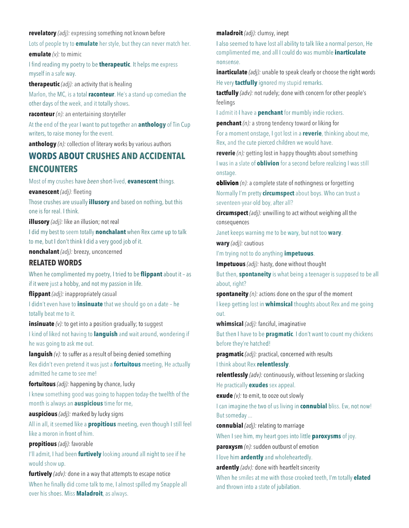**revelatory** *(adj):* expressing something not known before

Lots of people try to **emulate** her style, but they can never match her. **emulate** *(v):* to mimic

I find reading my poetry to be **therapeutic**. It helps me express myself in a safe way.

**therapeutic** *(adj):* an activity that is healing Marlon, the MC, is a total **raconteur**. He's a stand·up comedian the other days of the week, and it totally shows.

**raconteur** *(n):* an entertaining storyteller

At the end of the year I want to put together an **anthology** of Tin Cup writers, to raise money for the event.

**anthology** *(n):* collection of literary works by various authors

## **WORDS ABOUT CRUSHES AND ACCIDENTAL ENCOUNTERS**

Most of my crushes have *been* short·lived, **evanescent** things.

**evanescent** *(adj):* fleeting

Those crushes are usually **illusory** and based on nothing, but this one is for real. I think.

**illusory** *(adj):* like an illusion; not real

I did my best to seem totally **nonchalant** when Rex came up to talk to me, but I don't think I did a very good job of it.

**nonchalant** *(adj):* breezy, unconcerned

#### **RELATED WORDS**

When he complimented my poetry, I tried to be **flippant** about it – as if it were just a hobby, and not my passion in life.

**flippant** *(adj):* inappropriately casual

I didn't even have to **insinuate** that we should go on a date – he totally beat me to it.

**insinuate** (*v*): to get into a position gradually; to suggest

I kind of liked not having to **languish** and wait around, wondering if he was going to ask me out.

**languish** (v): to suffer as a result of being denied something Rex didn't even pretend it was just a **fortuitous** meeting, He actually admitted he came to see me!

**fortuitous** *(adj):* happening by chance, lucky

I knew something good was going to happen today-the twelfth of the month is always an **auspicious** time for me,

**auspicious** *(adj):* marked by lucky signs

All in all, it seemed like a **propitious** meeting, even though I still feel like a moron in front of him.

**propitious** *(adj):* favorable

I'll admit, I had been **furtively** looking around all night to see if he would show up.

**furtively** *(adv):* done in a way that attempts to escape notice When he finally did come talk to me, I almost spilled my Snapple all over his shoes. Miss **Maladroit**, as always.

**maladroit** *(adj):* clumsy, inept

I also seemed to have lost all ability to talk like a normal person, He complimented me, and all I could do was mumble **inarticulate** nonsense.

**inarticulate** *(adj):* unable to speak clearly or choose the right words He very **tactfully** ignored my stupid remarks.

**tactfully** *(adv):* not rudely; done with concern for other people's feelings

I admit it-I have a **penchant** for mumbly indie rockers.

**penchant** *(n):* a strong tendency toward or liking for For a moment onstage, I got lost in a **reverie**, thinking about me, Rex, and the cute pierced children we would have.

**reverie** *(n):* getting lost in happy thoughts about something I was in a slate of **oblivion** for a second before realizing I was still onstage.

**oblivion** (n): a complete state of nothingness or forgetting Normally I'm pretty **circumspect** about boys. Who can trust a seventeen·year-old boy, after all?

**circumspect** *(adj):* unwilling to act without weighing all the consequences

Janet keeps warning me to be wary, but not too **wary**.

**wary** *(adj):* cautious

I'm trying not to do anything **impetuous**.

**Impetuous** *(adj):* hasty, done without thought

But then, **spontaneity** is what being a teenager is supposed to be all about, right?

**spontaneity** *(n):* actions done on the spur of the moment I keep getting lost in **whimsical** thoughts about Rex and me going out.

**whimsical** *(adj):* fanciful, imaginative

But then I have to be **pragmatic**. I don't want to count my chickens before they're hatched!

**pragmatic** *(adj):* practical, concerned with results I think about Rex **relentlessly**.

**relentlessly** *(adv):* continuously, without lessening or slacking He practically **exudes** sex appeal.

**exude** *(v):* to emit, to ooze out slowly

I can imagine the two of us living in **connubial** bliss. Ew, not now! But someday ...

**connubial** *(adj):* relating to marriage

When I see him, my heart goes into little **paroxysms** of joy.

**paroxysm** *(n):* sudden outburst of emotion

I love him **ardently** and wholeheartedly.

**ardently** *(adv):* done with heartfelt sincerity

When he smiles at me with those crooked teeth, I'm totally **elated** and thrown into a state of jubilation.